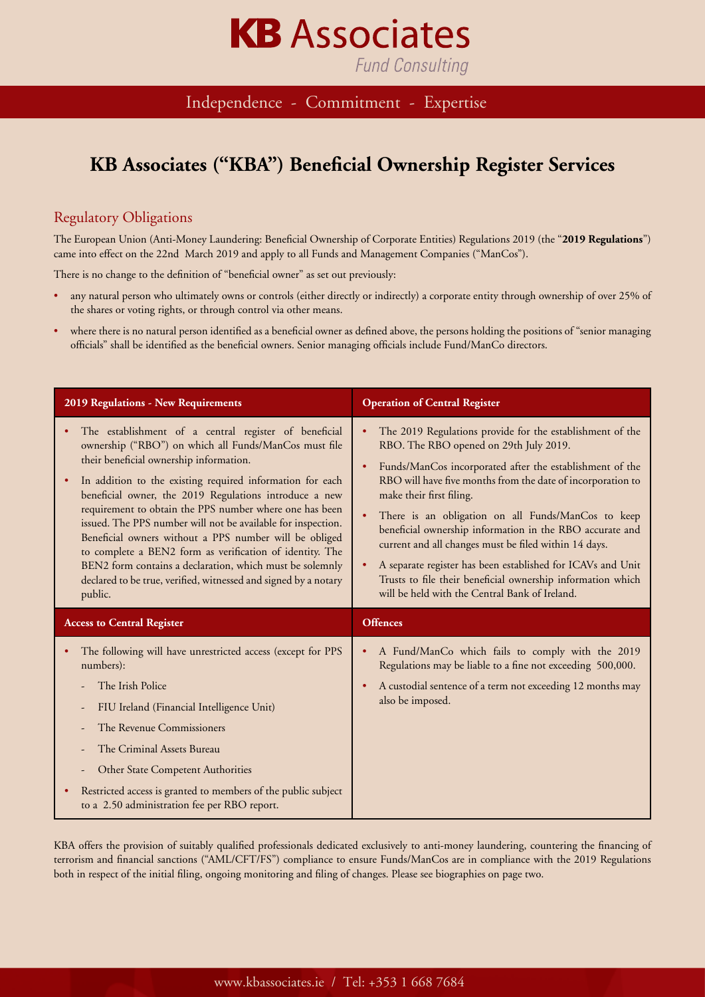## **Fund Consulting**

**KB** Associates

Independence - Commitment - Expertise

#### **KB Associates ("KBA") Beneficial Ownership Register Services**

#### Regulatory Obligations

The European Union (Anti-Money Laundering: Beneficial Ownership of Corporate Entities) Regulations 2019 (the "**2019 Regulations**") came into effect on the 22nd March 2019 and apply to all Funds and Management Companies ("ManCos").

There is no change to the definition of "beneficial owner" as set out previously:

- any natural person who ultimately owns or controls (either directly or indirectly) a corporate entity through ownership of over 25% of the shares or voting rights, or through control via other means.
- where there is no natural person identified as a beneficial owner as defined above, the persons holding the positions of "senior managing officials" shall be identified as the beneficial owners. Senior managing officials include Fund/ManCo directors.

| 2019 Regulations - New Requirements                                                                                                                                                                                                                                                                                                                                                                                                                                                                                                                                                                                                                                              | <b>Operation of Central Register</b>                                                                                                                                                                                                                                                                                                                                                                                                                                                                                                                                                                                  |
|----------------------------------------------------------------------------------------------------------------------------------------------------------------------------------------------------------------------------------------------------------------------------------------------------------------------------------------------------------------------------------------------------------------------------------------------------------------------------------------------------------------------------------------------------------------------------------------------------------------------------------------------------------------------------------|-----------------------------------------------------------------------------------------------------------------------------------------------------------------------------------------------------------------------------------------------------------------------------------------------------------------------------------------------------------------------------------------------------------------------------------------------------------------------------------------------------------------------------------------------------------------------------------------------------------------------|
| The establishment of a central register of beneficial<br>ownership ("RBO") on which all Funds/ManCos must file<br>their beneficial ownership information.<br>In addition to the existing required information for each<br>٠<br>beneficial owner, the 2019 Regulations introduce a new<br>requirement to obtain the PPS number where one has been<br>issued. The PPS number will not be available for inspection.<br>Beneficial owners without a PPS number will be obliged<br>to complete a BEN2 form as verification of identity. The<br>BEN2 form contains a declaration, which must be solemnly<br>declared to be true, verified, witnessed and signed by a notary<br>public. | The 2019 Regulations provide for the establishment of the<br>RBO. The RBO opened on 29th July 2019.<br>Funds/ManCos incorporated after the establishment of the<br>RBO will have five months from the date of incorporation to<br>make their first filing.<br>There is an obligation on all Funds/ManCos to keep<br>beneficial ownership information in the RBO accurate and<br>current and all changes must be filed within 14 days.<br>A separate register has been established for ICAVs and Unit<br>Trusts to file their beneficial ownership information which<br>will be held with the Central Bank of Ireland. |
| <b>Access to Central Register</b>                                                                                                                                                                                                                                                                                                                                                                                                                                                                                                                                                                                                                                                | <b>Offences</b>                                                                                                                                                                                                                                                                                                                                                                                                                                                                                                                                                                                                       |
| The following will have unrestricted access (except for PPS<br>numbers):<br>The Irish Police<br>FIU Ireland (Financial Intelligence Unit)<br>The Revenue Commissioners<br>The Criminal Assets Bureau<br>Other State Competent Authorities<br>Restricted access is granted to members of the public subject<br>٠<br>to a €.50 administration fee per RBO report.                                                                                                                                                                                                                                                                                                                  | A Fund/ManCo which fails to comply with the 2019<br>Regulations may be liable to a fine not exceeding 500,000.<br>A custodial sentence of a term not exceeding 12 months may<br>also be imposed.                                                                                                                                                                                                                                                                                                                                                                                                                      |

KBA offers the provision of suitably qualified professionals dedicated exclusively to anti-money laundering, countering the financing of terrorism and financial sanctions ("AML/CFT/FS") compliance to ensure Funds/ManCos are in compliance with the 2019 Regulations both in respect of the initial filing, ongoing monitoring and filing of changes. Please see biographies on page two.